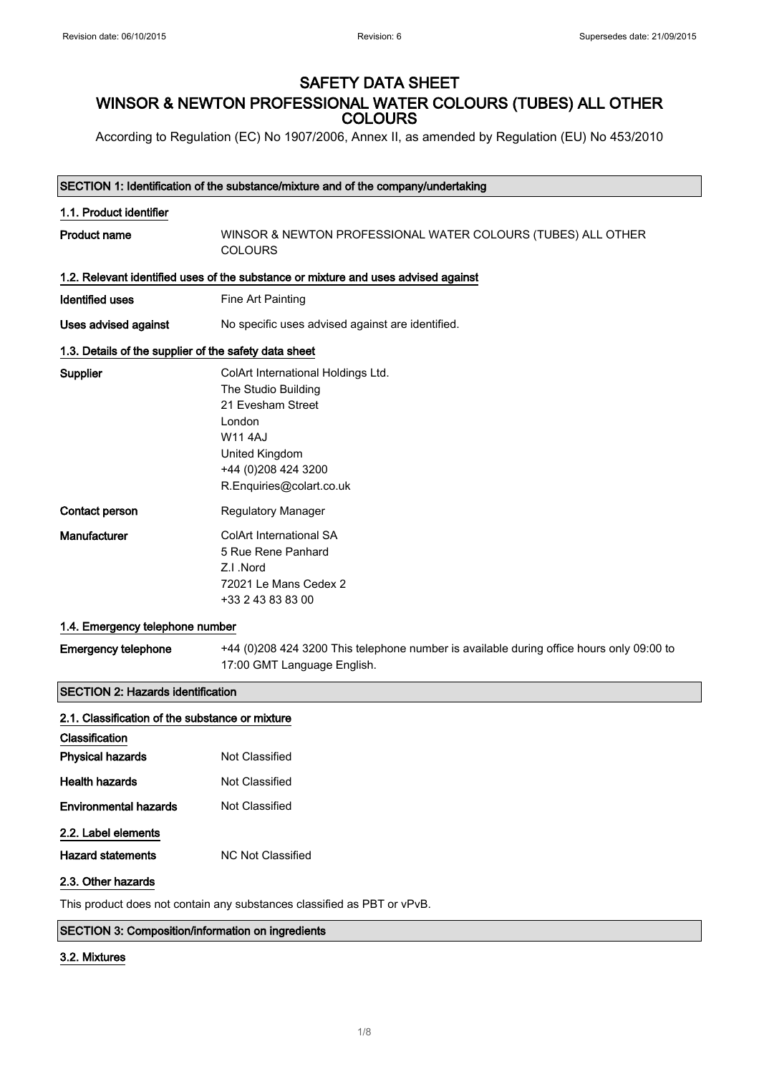## SAFETY DATA SHEET WINSOR & NEWTON PROFESSIONAL WATER COLOURS (TUBES) ALL OTHER **COLOURS**

According to Regulation (EC) No 1907/2006, Annex II, as amended by Regulation (EU) No 453/2010

#### SECTION 1: Identification of the substance/mixture and of the company/undertaking

## 1.1. Product identifier Product name WINSOR & NEWTON PROFESSIONAL WATER COLOURS (TUBES) ALL OTHER **COLOURS** 1.2. Relevant identified uses of the substance or mixture and uses advised against **Identified uses** Fine Art Painting Uses advised against **No specific uses advised against are identified.** 1.3. Details of the supplier of the safety data sheet Supplier ColArt International Holdings Ltd. The Studio Building 21 Evesham Street London W11 4AJ United Kingdom +44 (0)208 424 3200 R.Enquiries@colart.co.uk Contact person Regulatory Manager Manufacturer ColArt International SA 5 Rue Rene Panhard Z.I .Nord 72021 Le Mans Cedex 2 +33 2 43 83 83 00

#### 1.4. Emergency telephone number

| <b>Emergency telephone</b> | +44 (0)208 424 3200 This telephone number is available during office hours only 09:00 to |
|----------------------------|------------------------------------------------------------------------------------------|
|                            | 17:00 GMT Language English.                                                              |

#### SECTION 2: Hazards identification

| 2.1. Classification of the substance or mixture |                   |
|-------------------------------------------------|-------------------|
| Classification                                  |                   |
| <b>Physical hazards</b>                         | Not Classified    |
| <b>Health hazards</b>                           | Not Classified    |
| <b>Environmental hazards</b>                    | Not Classified    |
| 2.2. Label elements                             |                   |
| <b>Hazard statements</b>                        | NC Not Classified |
| 2.3. Other hazards                              |                   |

This product does not contain any substances classified as PBT or vPvB.

#### SECTION 3: Composition/information on ingredients

#### 3.2. Mixtures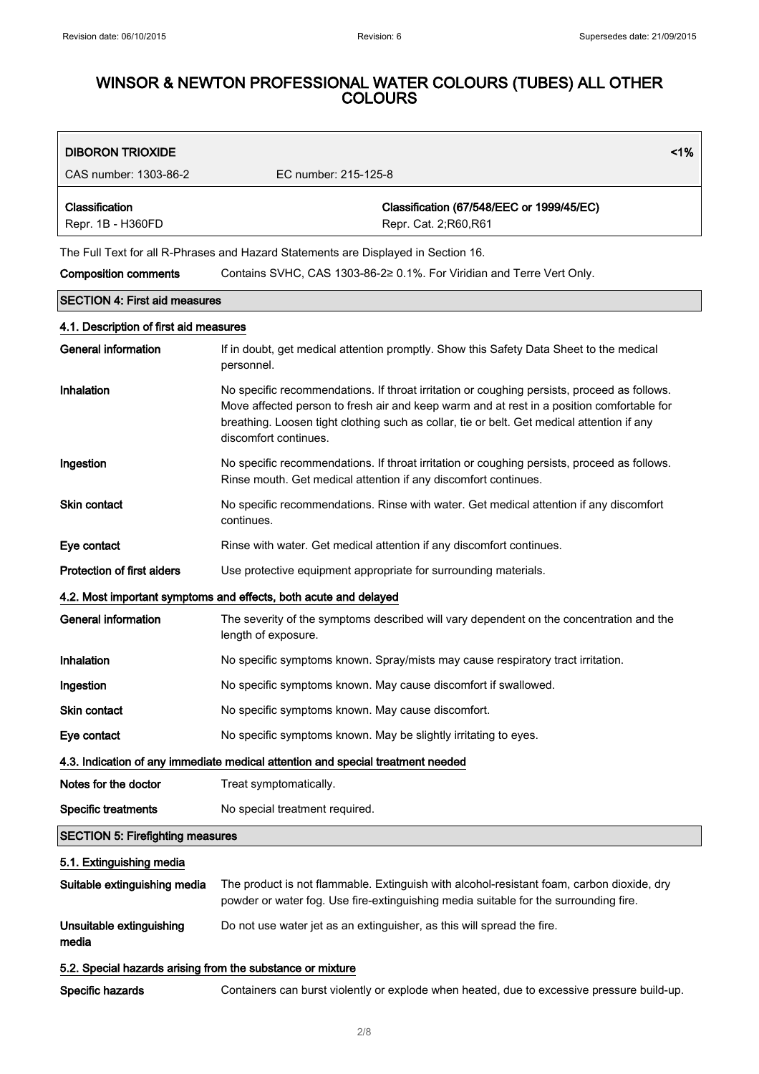$\overline{1}$ 

## WINSOR & NEWTON PROFESSIONAL WATER COLOURS (TUBES) ALL OTHER COLOURS

| <b>DIBORON TRIOXIDE</b>                                    | 1%                                                                                                                                                                                                                                                                                                              |
|------------------------------------------------------------|-----------------------------------------------------------------------------------------------------------------------------------------------------------------------------------------------------------------------------------------------------------------------------------------------------------------|
| CAS number: 1303-86-2                                      | EC number: 215-125-8                                                                                                                                                                                                                                                                                            |
| Classification<br>Repr. 1B - H360FD                        | Classification (67/548/EEC or 1999/45/EC)<br>Repr. Cat. 2;R60,R61                                                                                                                                                                                                                                               |
|                                                            | The Full Text for all R-Phrases and Hazard Statements are Displayed in Section 16.                                                                                                                                                                                                                              |
| <b>Composition comments</b>                                | Contains SVHC, CAS 1303-86-2≥ 0.1%. For Viridian and Terre Vert Only.                                                                                                                                                                                                                                           |
| <b>SECTION 4: First aid measures</b>                       |                                                                                                                                                                                                                                                                                                                 |
| 4.1. Description of first aid measures                     |                                                                                                                                                                                                                                                                                                                 |
| <b>General information</b>                                 | If in doubt, get medical attention promptly. Show this Safety Data Sheet to the medical<br>personnel.                                                                                                                                                                                                           |
| Inhalation                                                 | No specific recommendations. If throat irritation or coughing persists, proceed as follows.<br>Move affected person to fresh air and keep warm and at rest in a position comfortable for<br>breathing. Loosen tight clothing such as collar, tie or belt. Get medical attention if any<br>discomfort continues. |
| Ingestion                                                  | No specific recommendations. If throat irritation or coughing persists, proceed as follows.<br>Rinse mouth. Get medical attention if any discomfort continues.                                                                                                                                                  |
| <b>Skin contact</b>                                        | No specific recommendations. Rinse with water. Get medical attention if any discomfort<br>continues.                                                                                                                                                                                                            |
| Eye contact                                                | Rinse with water. Get medical attention if any discomfort continues.                                                                                                                                                                                                                                            |
| <b>Protection of first aiders</b>                          | Use protective equipment appropriate for surrounding materials.                                                                                                                                                                                                                                                 |
|                                                            | 4.2. Most important symptoms and effects, both acute and delayed                                                                                                                                                                                                                                                |
| <b>General information</b>                                 | The severity of the symptoms described will vary dependent on the concentration and the<br>length of exposure.                                                                                                                                                                                                  |
| Inhalation                                                 | No specific symptoms known. Spray/mists may cause respiratory tract irritation.                                                                                                                                                                                                                                 |
| Ingestion                                                  | No specific symptoms known. May cause discomfort if swallowed.                                                                                                                                                                                                                                                  |
| Skin contact                                               | No specific symptoms known. May cause discomfort.                                                                                                                                                                                                                                                               |
| Eye contact                                                | No specific symptoms known. May be slightly irritating to eyes.                                                                                                                                                                                                                                                 |
|                                                            | 4.3. Indication of any immediate medical attention and special treatment needed                                                                                                                                                                                                                                 |
| Notes for the doctor                                       | Treat symptomatically.                                                                                                                                                                                                                                                                                          |
| <b>Specific treatments</b>                                 | No special treatment required.                                                                                                                                                                                                                                                                                  |
| <b>SECTION 5: Firefighting measures</b>                    |                                                                                                                                                                                                                                                                                                                 |
| 5.1. Extinguishing media                                   |                                                                                                                                                                                                                                                                                                                 |
| Suitable extinguishing media                               | The product is not flammable. Extinguish with alcohol-resistant foam, carbon dioxide, dry<br>powder or water fog. Use fire-extinguishing media suitable for the surrounding fire.                                                                                                                               |
| Unsuitable extinguishing<br>media                          | Do not use water jet as an extinguisher, as this will spread the fire.                                                                                                                                                                                                                                          |
| 5.2. Special hazards arising from the substance or mixture |                                                                                                                                                                                                                                                                                                                 |
| Specific hazards                                           | Containers can burst violently or explode when heated, due to excessive pressure build-up.                                                                                                                                                                                                                      |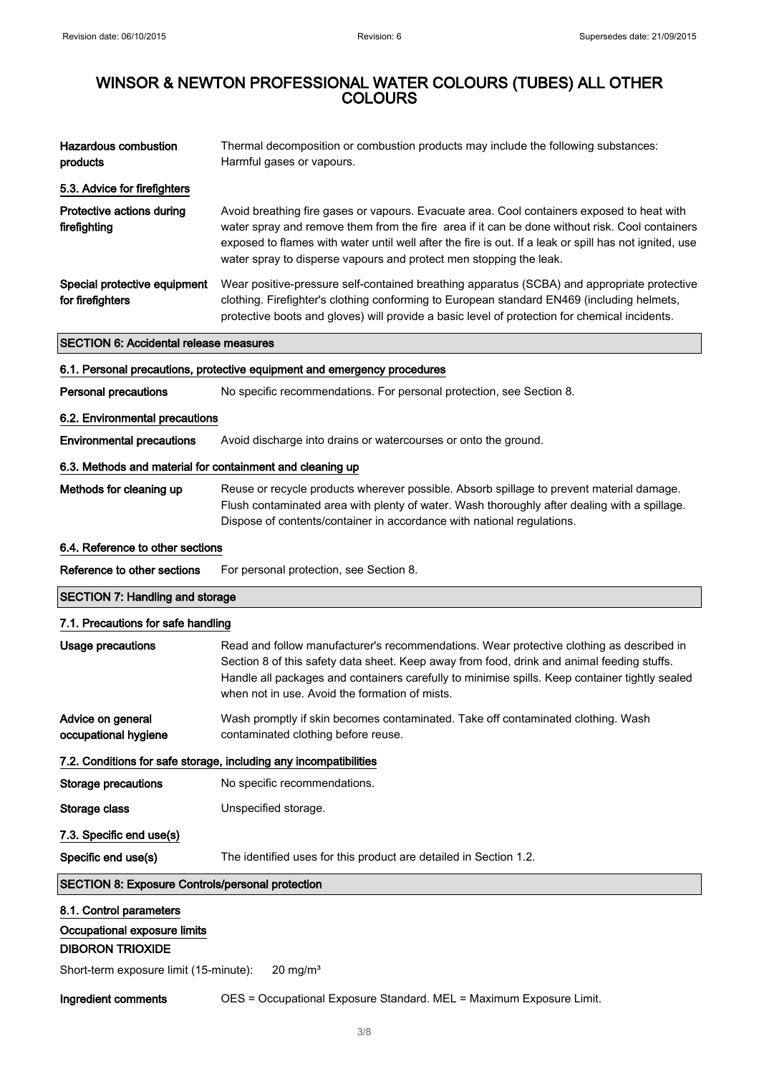| <b>Hazardous combustion</b><br>products                           | Thermal decomposition or combustion products may include the following substances:<br>Harmful gases or vapours.                                                                                                                                                                                                                                                              |  |
|-------------------------------------------------------------------|------------------------------------------------------------------------------------------------------------------------------------------------------------------------------------------------------------------------------------------------------------------------------------------------------------------------------------------------------------------------------|--|
| 5.3. Advice for firefighters                                      |                                                                                                                                                                                                                                                                                                                                                                              |  |
| Protective actions during<br>firefighting                         | Avoid breathing fire gases or vapours. Evacuate area. Cool containers exposed to heat with<br>water spray and remove them from the fire area if it can be done without risk. Cool containers<br>exposed to flames with water until well after the fire is out. If a leak or spill has not ignited, use<br>water spray to disperse vapours and protect men stopping the leak. |  |
| Special protective equipment<br>for firefighters                  | Wear positive-pressure self-contained breathing apparatus (SCBA) and appropriate protective<br>clothing. Firefighter's clothing conforming to European standard EN469 (including helmets,<br>protective boots and gloves) will provide a basic level of protection for chemical incidents.                                                                                   |  |
| <b>SECTION 6: Accidental release measures</b>                     |                                                                                                                                                                                                                                                                                                                                                                              |  |
|                                                                   | 6.1. Personal precautions, protective equipment and emergency procedures                                                                                                                                                                                                                                                                                                     |  |
| Personal precautions                                              | No specific recommendations. For personal protection, see Section 8.                                                                                                                                                                                                                                                                                                         |  |
| 6.2. Environmental precautions                                    |                                                                                                                                                                                                                                                                                                                                                                              |  |
| <b>Environmental precautions</b>                                  | Avoid discharge into drains or watercourses or onto the ground.                                                                                                                                                                                                                                                                                                              |  |
| 6.3. Methods and material for containment and cleaning up         |                                                                                                                                                                                                                                                                                                                                                                              |  |
| Methods for cleaning up                                           | Reuse or recycle products wherever possible. Absorb spillage to prevent material damage.<br>Flush contaminated area with plenty of water. Wash thoroughly after dealing with a spillage.<br>Dispose of contents/container in accordance with national regulations.                                                                                                           |  |
| 6.4. Reference to other sections                                  |                                                                                                                                                                                                                                                                                                                                                                              |  |
| Reference to other sections                                       | For personal protection, see Section 8.                                                                                                                                                                                                                                                                                                                                      |  |
| <b>SECTION 7: Handling and storage</b>                            |                                                                                                                                                                                                                                                                                                                                                                              |  |
| 7.1. Precautions for safe handling                                |                                                                                                                                                                                                                                                                                                                                                                              |  |
| <b>Usage precautions</b>                                          | Read and follow manufacturer's recommendations. Wear protective clothing as described in<br>Section 8 of this safety data sheet. Keep away from food, drink and animal feeding stuffs.<br>Handle all packages and containers carefully to minimise spills. Keep container tightly sealed<br>when not in use. Avoid the formation of mists.                                   |  |
| Advice on general<br>occupational hygiene                         | Wash promptly if skin becomes contaminated. Take off contaminated clothing. Wash<br>contaminated clothing before reuse.                                                                                                                                                                                                                                                      |  |
| 7.2. Conditions for safe storage, including any incompatibilities |                                                                                                                                                                                                                                                                                                                                                                              |  |
| <b>Storage precautions</b>                                        | No specific recommendations.                                                                                                                                                                                                                                                                                                                                                 |  |
| Storage class                                                     | Unspecified storage.                                                                                                                                                                                                                                                                                                                                                         |  |
| 7.3. Specific end use(s)                                          |                                                                                                                                                                                                                                                                                                                                                                              |  |
| Specific end use(s)                                               | The identified uses for this product are detailed in Section 1.2.                                                                                                                                                                                                                                                                                                            |  |
| <b>SECTION 8: Exposure Controls/personal protection</b>           |                                                                                                                                                                                                                                                                                                                                                                              |  |
|                                                                   |                                                                                                                                                                                                                                                                                                                                                                              |  |

# 8.1. Control parameters

## Occupational exposure limits

#### DIBORON TRIOXIDE

Short-term exposure limit (15-minute): 20 mg/m<sup>3</sup>

Ingredient comments OES = Occupational Exposure Standard. MEL = Maximum Exposure Limit.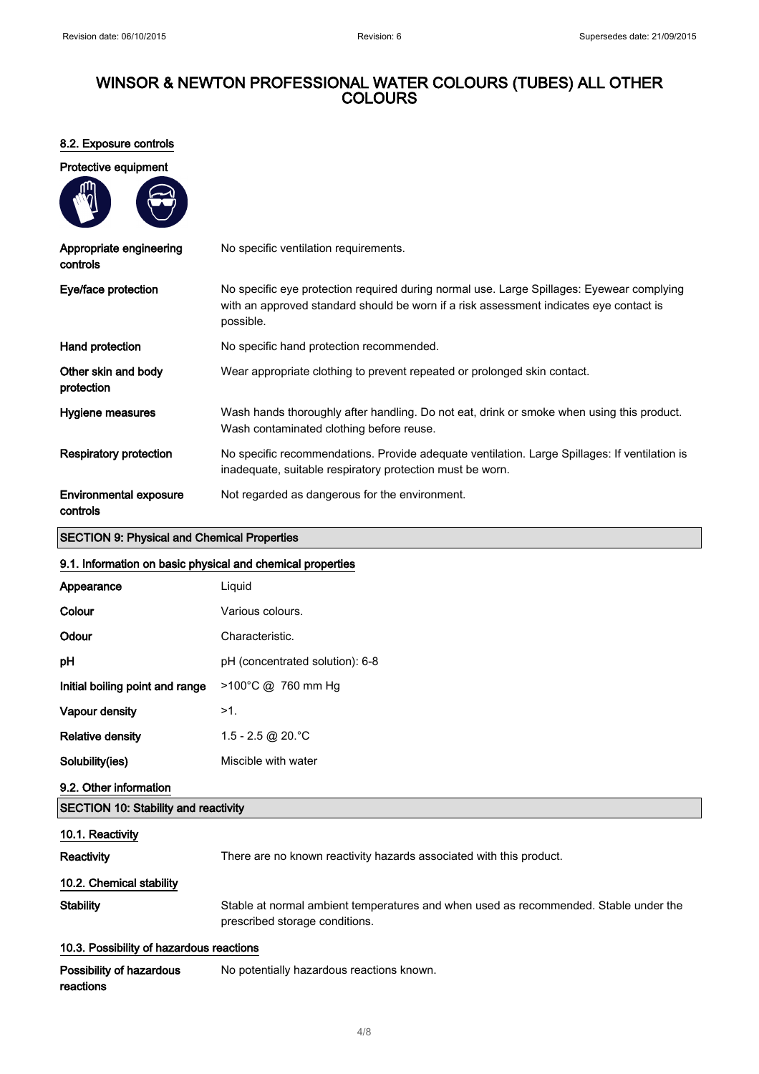## 8.2. Exposure controls

| Protective equipment |
|----------------------|
|                      |

| Appropriate engineering<br>controls | No specific ventilation requirements.                                                                                                                                                            |
|-------------------------------------|--------------------------------------------------------------------------------------------------------------------------------------------------------------------------------------------------|
| Eye/face protection                 | No specific eye protection required during normal use. Large Spillages: Eyewear complying<br>with an approved standard should be worn if a risk assessment indicates eye contact is<br>possible. |
| Hand protection                     | No specific hand protection recommended.                                                                                                                                                         |
| Other skin and body<br>protection   | Wear appropriate clothing to prevent repeated or prolonged skin contact.                                                                                                                         |
| Hygiene measures                    | Wash hands thoroughly after handling. Do not eat, drink or smoke when using this product.<br>Wash contaminated clothing before reuse.                                                            |
| Respiratory protection              | No specific recommendations. Provide adequate ventilation. Large Spillages: If ventilation is<br>inadequate, suitable respiratory protection must be worn.                                       |
| Environmental exposure<br>controls  | Not regarded as dangerous for the environment.                                                                                                                                                   |

#### SECTION 9: Physical and Chemical Properties

| 9.1. Information on basic physical and chemical properties |                                                                                                                        |  |
|------------------------------------------------------------|------------------------------------------------------------------------------------------------------------------------|--|
| Appearance                                                 | Liquid                                                                                                                 |  |
| Colour                                                     | Various colours.                                                                                                       |  |
| Odour                                                      | Characteristic.                                                                                                        |  |
| pH                                                         | pH (concentrated solution): 6-8                                                                                        |  |
| Initial boiling point and range                            | >100°C @ 760 mm Hg                                                                                                     |  |
| Vapour density                                             | $>1$ .                                                                                                                 |  |
| <b>Relative density</b>                                    | 1.5 - 2.5 @ 20. °C                                                                                                     |  |
| Solubility(ies)                                            | Miscible with water                                                                                                    |  |
| 9.2. Other information                                     |                                                                                                                        |  |
| <b>SECTION 10: Stability and reactivity</b>                |                                                                                                                        |  |
| 10.1. Reactivity                                           |                                                                                                                        |  |
| <b>Reactivity</b>                                          | There are no known reactivity hazards associated with this product.                                                    |  |
| 10.2. Chemical stability                                   |                                                                                                                        |  |
| <b>Stability</b>                                           | Stable at normal ambient temperatures and when used as recommended. Stable under the<br>prescribed storage conditions. |  |
| 10.3. Possibility of hazardous reactions                   |                                                                                                                        |  |
| Possibility of hazardous<br>reactions                      | No potentially hazardous reactions known.                                                                              |  |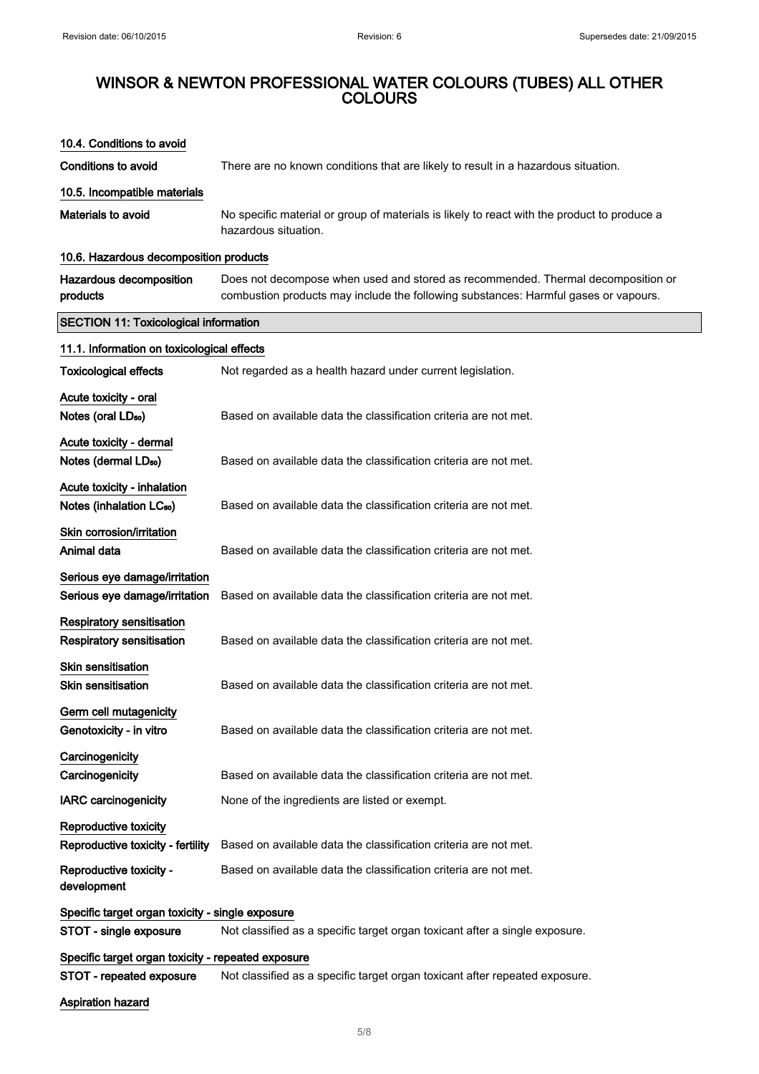| 10.4. Conditions to avoid                                     |                                                                                                                                                                         |  |
|---------------------------------------------------------------|-------------------------------------------------------------------------------------------------------------------------------------------------------------------------|--|
| <b>Conditions to avoid</b>                                    | There are no known conditions that are likely to result in a hazardous situation.                                                                                       |  |
| 10.5. Incompatible materials                                  |                                                                                                                                                                         |  |
| Materials to avoid                                            | No specific material or group of materials is likely to react with the product to produce a<br>hazardous situation.                                                     |  |
| 10.6. Hazardous decomposition products                        |                                                                                                                                                                         |  |
| Hazardous decomposition<br>products                           | Does not decompose when used and stored as recommended. Thermal decomposition or<br>combustion products may include the following substances: Harmful gases or vapours. |  |
| <b>SECTION 11: Toxicological information</b>                  |                                                                                                                                                                         |  |
| 11.1. Information on toxicological effects                    |                                                                                                                                                                         |  |
| <b>Toxicological effects</b>                                  | Not regarded as a health hazard under current legislation.                                                                                                              |  |
| Acute toxicity - oral                                         |                                                                                                                                                                         |  |
| Notes (oral LD <sub>50</sub> )                                | Based on available data the classification criteria are not met.                                                                                                        |  |
| Acute toxicity - dermal<br>Notes (dermal LD <sub>50</sub> )   | Based on available data the classification criteria are not met.                                                                                                        |  |
| Acute toxicity - inhalation                                   |                                                                                                                                                                         |  |
| Notes (inhalation LC <sub>50</sub> )                          | Based on available data the classification criteria are not met.                                                                                                        |  |
| Skin corrosion/irritation<br>Animal data                      | Based on available data the classification criteria are not met.                                                                                                        |  |
| Serious eye damage/irritation                                 |                                                                                                                                                                         |  |
| Serious eye damage/irritation                                 | Based on available data the classification criteria are not met.                                                                                                        |  |
| <b>Respiratory sensitisation</b><br>Respiratory sensitisation | Based on available data the classification criteria are not met.                                                                                                        |  |
| Skin sensitisation<br><b>Skin sensitisation</b>               | Based on available data the classification criteria are not met.                                                                                                        |  |
| Germ cell mutagenicity                                        |                                                                                                                                                                         |  |
| Genotoxicity - in vitro                                       | Based on available data the classification criteria are not met.                                                                                                        |  |
| Carcinogenicity<br>Carcinogenicity                            | Based on available data the classification criteria are not met.                                                                                                        |  |
| <b>IARC carcinogenicity</b>                                   | None of the ingredients are listed or exempt.                                                                                                                           |  |
| Reproductive toxicity<br>Reproductive toxicity - fertility    | Based on available data the classification criteria are not met.                                                                                                        |  |
| Reproductive toxicity -<br>development                        | Based on available data the classification criteria are not met.                                                                                                        |  |
| Specific target organ toxicity - single exposure              |                                                                                                                                                                         |  |
| STOT - single exposure                                        | Not classified as a specific target organ toxicant after a single exposure.                                                                                             |  |
| Specific target organ toxicity - repeated exposure            |                                                                                                                                                                         |  |
| STOT - repeated exposure                                      | Not classified as a specific target organ toxicant after repeated exposure.                                                                                             |  |
| Aspiration hazard                                             |                                                                                                                                                                         |  |

5/ 8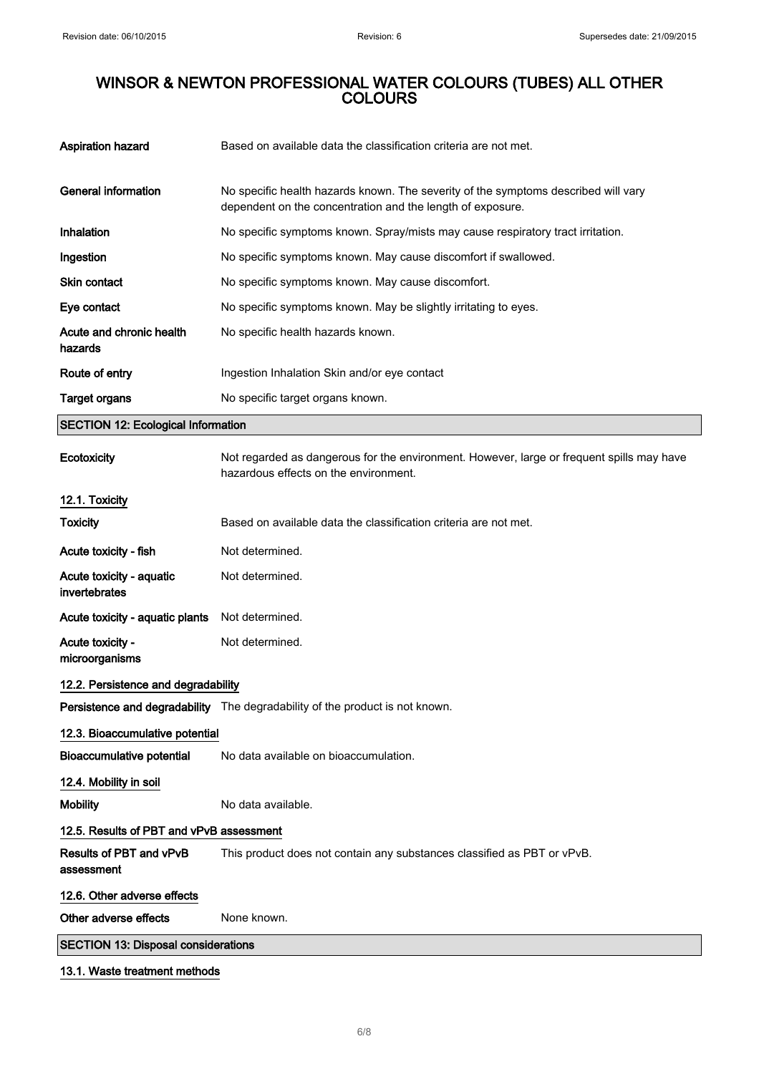| <b>Aspiration hazard</b>                   | Based on available data the classification criteria are not met.                                                                                 |
|--------------------------------------------|--------------------------------------------------------------------------------------------------------------------------------------------------|
| <b>General information</b>                 | No specific health hazards known. The severity of the symptoms described will vary<br>dependent on the concentration and the length of exposure. |
| <b>Inhalation</b>                          | No specific symptoms known. Spray/mists may cause respiratory tract irritation.                                                                  |
| Ingestion                                  | No specific symptoms known. May cause discomfort if swallowed.                                                                                   |
| Skin contact                               | No specific symptoms known. May cause discomfort.                                                                                                |
| Eye contact                                | No specific symptoms known. May be slightly irritating to eyes.                                                                                  |
| Acute and chronic health<br>hazards        | No specific health hazards known.                                                                                                                |
| Route of entry                             | Ingestion Inhalation Skin and/or eye contact                                                                                                     |
| <b>Target organs</b>                       | No specific target organs known.                                                                                                                 |
| <b>SECTION 12: Ecological Information</b>  |                                                                                                                                                  |
| Ecotoxicity                                | Not regarded as dangerous for the environment. However, large or frequent spills may have<br>hazardous effects on the environment.               |
| 12.1. Toxicity                             |                                                                                                                                                  |
| <b>Toxicity</b>                            | Based on available data the classification criteria are not met.                                                                                 |
| Acute toxicity - fish                      | Not determined.                                                                                                                                  |
| Acute toxicity - aquatic<br>invertebrates  | Not determined.                                                                                                                                  |
| Acute toxicity - aquatic plants            | Not determined.                                                                                                                                  |
| Acute toxicity -<br>microorganisms         | Not determined.                                                                                                                                  |
| 12.2. Persistence and degradability        |                                                                                                                                                  |
|                                            | Persistence and degradability The degradability of the product is not known                                                                      |
| 12.3. Bioaccumulative potential            |                                                                                                                                                  |
| <b>Bioaccumulative potential</b>           | No data available on bioaccumulation.                                                                                                            |
| 12.4. Mobility in soil                     |                                                                                                                                                  |
| <b>Mobility</b>                            | No data available.                                                                                                                               |
| 12.5. Results of PBT and vPvB assessment   |                                                                                                                                                  |
| Results of PBT and vPvB<br>assessment      | This product does not contain any substances classified as PBT or vPvB.                                                                          |
| 12.6. Other adverse effects                |                                                                                                                                                  |
| Other adverse effects                      | None known.                                                                                                                                      |
| <b>SECTION 13: Disposal considerations</b> |                                                                                                                                                  |
| 13.1. Waste treatment methods              |                                                                                                                                                  |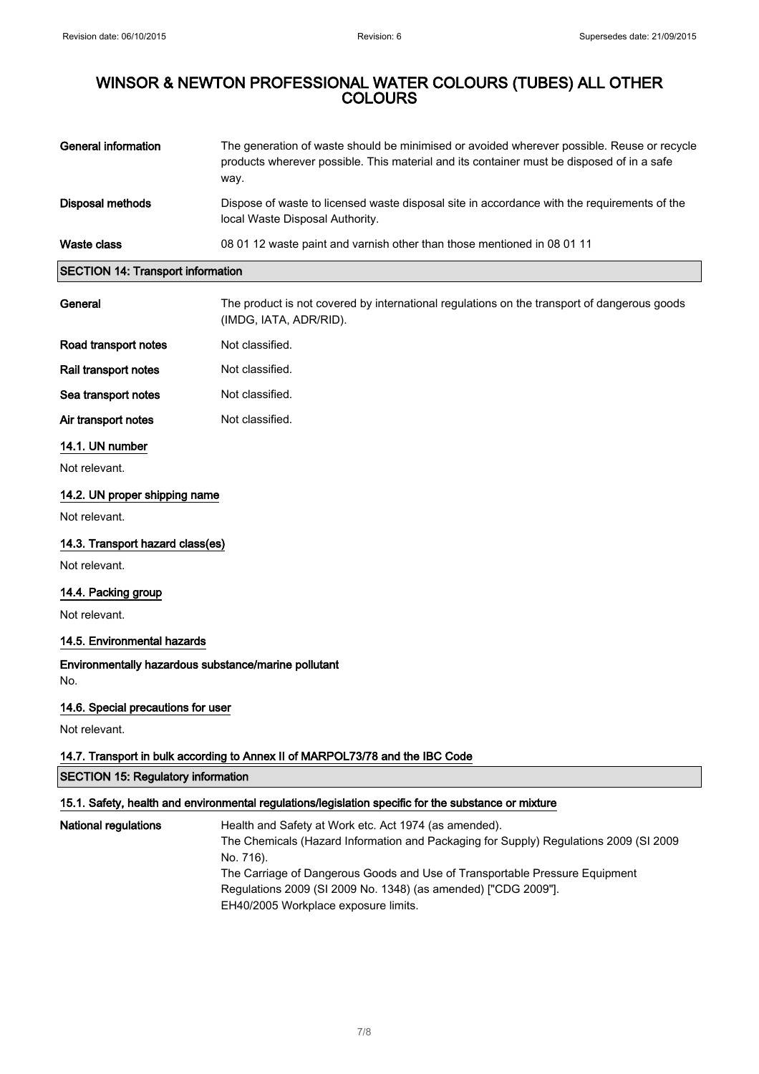| <b>General information</b>                                                    | The generation of waste should be minimised or avoided wherever possible. Reuse or recycle<br>products wherever possible. This material and its container must be disposed of in a safe<br>way. |  |
|-------------------------------------------------------------------------------|-------------------------------------------------------------------------------------------------------------------------------------------------------------------------------------------------|--|
| <b>Disposal methods</b>                                                       | Dispose of waste to licensed waste disposal site in accordance with the requirements of the<br>local Waste Disposal Authority.                                                                  |  |
| <b>Waste class</b>                                                            | 08 01 12 waste paint and varnish other than those mentioned in 08 01 11                                                                                                                         |  |
| <b>SECTION 14: Transport information</b>                                      |                                                                                                                                                                                                 |  |
| General                                                                       | The product is not covered by international regulations on the transport of dangerous goods<br>(IMDG, IATA, ADR/RID).                                                                           |  |
| Road transport notes                                                          | Not classified.                                                                                                                                                                                 |  |
| Rail transport notes                                                          | Not classified.                                                                                                                                                                                 |  |
| Sea transport notes                                                           | Not classified.                                                                                                                                                                                 |  |
| Air transport notes                                                           | Not classified.                                                                                                                                                                                 |  |
| 14.1. UN number                                                               |                                                                                                                                                                                                 |  |
| Not relevant.                                                                 |                                                                                                                                                                                                 |  |
| 14.2. UN proper shipping name                                                 |                                                                                                                                                                                                 |  |
| Not relevant.                                                                 |                                                                                                                                                                                                 |  |
| 14.3. Transport hazard class(es)                                              |                                                                                                                                                                                                 |  |
| Not relevant.                                                                 |                                                                                                                                                                                                 |  |
| 14.4. Packing group                                                           |                                                                                                                                                                                                 |  |
| Not relevant.                                                                 |                                                                                                                                                                                                 |  |
| 14.5. Environmental hazards                                                   |                                                                                                                                                                                                 |  |
| Environmentally hazardous substance/marine pollutant<br>No.                   |                                                                                                                                                                                                 |  |
| 14.6. Special precautions for user                                            |                                                                                                                                                                                                 |  |
| Not relevant.                                                                 |                                                                                                                                                                                                 |  |
| 14.7. Transport in bulk according to Annex II of MARPOL73/78 and the IBC Code |                                                                                                                                                                                                 |  |
| <b>SECTION 15: Regulatory information</b>                                     |                                                                                                                                                                                                 |  |
|                                                                               | 15.1. Safety, health and environmental regulations/legislation specific for the substance or mixture                                                                                            |  |

#### National regulations **Health and Safety at Work etc. Act 1974 (as amended).** The Chemicals (Hazard Information and Packaging for Supply) Regulations 2009 (SI 2009 No. 716). The Carriage of Dangerous Goods and Use of Transportable Pressure Equipment Regulations 2009 (SI 2009 No. 1348) (as amended) ["CDG 2009"]. EH40/2005 Workplace exposure limits.